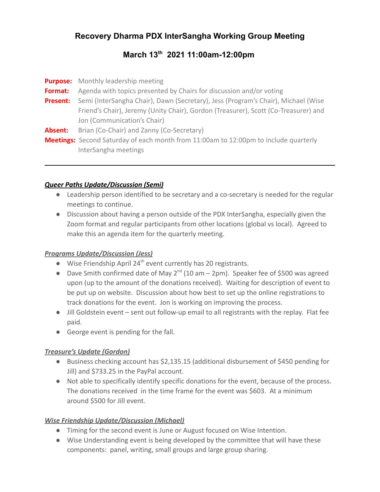# **Recovery Dharma PDX InterSangha Working Group Meeting**

## **March 13 th 2021 11:00am-12:00pm**

|                 | <b>Purpose:</b> Monthly leadership meeting                                                  |
|-----------------|---------------------------------------------------------------------------------------------|
| <b>Format:</b>  | Agenda with topics presented by Chairs for discussion and/or voting                         |
| <b>Present:</b> | Semi (InterSangha Chair), Dawn (Secretary), Jess (Program's Chair), Michael (Wise           |
|                 | Friend's Chair), Jeremy (Unity Chair), Gordon (Treasurer), Scott (Co-Treasurer) and         |
|                 | Jon (Communication's Chair)                                                                 |
| Absent:         | Brian (Co-Chair) and Zanny (Co-Secretary)                                                   |
|                 | <b>Meetings:</b> Second Saturday of each month from 11:00am to 12:00pm to include quarterly |
|                 | InterSangha meetings                                                                        |

#### *Queer Paths Update/Discussion (Semi)*

- Leadership person identified to be secretary and a co-secretary is needed for the regular meetings to continue.
- Discussion about having a person outside of the PDX InterSangha, especially given the Zoom format and regular participants from other locations (global vs local). Agreed to make this an agenda item for the quarterly meeting.

#### *Programs Update/Discussion (Jess)*

- $\bullet$  Wise Friendship April 24<sup>th</sup> event currently has 20 registrants.
- Dave Smith confirmed date of May  $2^{nd}$  (10 am  $-$  2pm). Speaker fee of \$500 was agreed upon (up to the amount of the donations received). Waiting for description of event to be put up on website. Discussion about how best to set up the online registrations to track donations for the event. Jon is working on improving the process.
- Jill Goldstein event sent out follow-up email to all registrants with the replay. Flat fee paid.
- George event is pending for the fall.

#### *Treasure's Update (Gordon)*

- Business checking account has \$2,135.15 (additional disbursement of \$450 pending for Jill) and \$733.25 in the PayPal account.
- Not able to specifically identify specific donations for the event, because of the process. The donations received in the time frame for the event was \$603. At a minimum around \$500 for Jill event.

#### *Wise Friendship Update/Discussion (Michael)*

- Timing for the second event is June or August focused on Wise Intention.
- Wise Understanding event is being developed by the committee that will have these components: panel, writing, small groups and large group sharing.